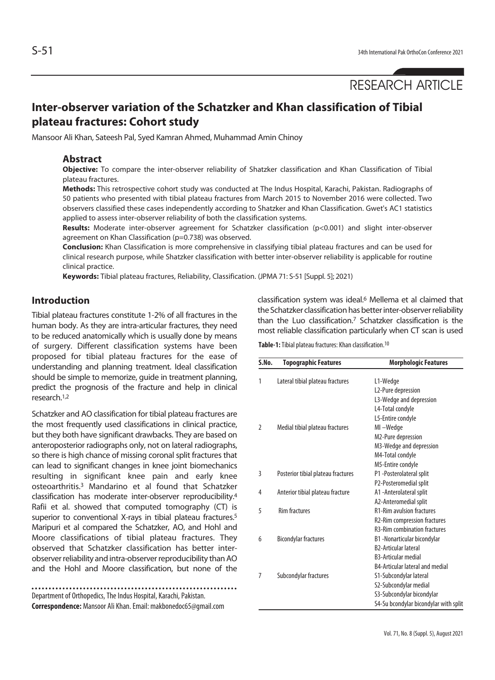# **Inter-observer variation of the Schatzker and Khan classification of Tibial plateau fractures: Cohort study**

Mansoor Ali Khan, Sateesh Pal, Syed Kamran Ahmed, Muhammad Amin Chinoy

#### **Abstract**

**Objective:** To compare the inter-observer reliability of Shatzker classification and Khan Classification of Tibial plateau fractures.

**Methods:** This retrospective cohort study was conducted at The Indus Hospital, Karachi, Pakistan. Radiographs of 50 patients who presented with tibial plateau fractures from March 2015 to November 2016 were collected. Two observers classified these cases independently according to Shatzker and Khan Classification. Gwet's AC1 statistics applied to assess inter-observer reliability of both the classification systems.

**Results:** Moderate inter-observer agreement for Schatzker classification (p<0.001) and slight inter-observer agreement on Khan Classification (p=0.738) was observed.

**Conclusion:** Khan Classification is more comprehensive in classifying tibial plateau fractures and can be used for clinical research purpose, while Shatzker classification with better inter-observer reliability is applicable for routine clinical practice.

**Keywords:** Tibial plateau fractures, Reliability, Classification. (JPMA 71: S-51 [Suppl. 5]; 2021)

## **Introduction**

Tibial plateau fractures constitute 1-2% of all fractures in the human body. As they are intra-articular fractures, they need to be reduced anatomically which is usually done by means of surgery. Different classification systems have been proposed for tibial plateau fractures for the ease of understanding and planning treatment. Ideal classification should be simple to memorize, guide in treatment planning, predict the prognosis of the fracture and help in clinical research.1,2

Schatzker and AO classification for tibial plateau fractures are the most frequently used classifications in clinical practice, but they both have significant drawbacks. They are based on anteroposterior radiographs only, not on lateral radiographs, so there is high chance of missing coronal split fractures that can lead to significant changes in knee joint biomechanics resulting in significant knee pain and early knee osteoarthritis.3 Mandarino et al found that Schatzker classification has moderate inter-observer reproducibility.4 Rafii et al. showed that computed tomography (CT) is superior to conventional X-rays in tibial plateau fractures.<sup>5</sup> Maripuri et al compared the Schatzker, AO, and Hohl and Moore classifications of tibial plateau fractures. They observed that Schatzker classification has better interobserver reliability and intra-observer reproducibility than AO and the Hohl and Moore classification, but none of the

Department of Orthopedics, The Indus Hospital, Karachi, Pakistan. **Correspondence:** Mansoor Ali Khan. Email: makbonedoc65@gmail.com classification system was ideal.6 Mellema et al claimed that the Schatzker classification has better inter-observer reliability than the Luo classification.7 Schatzker classification is the most reliable classification particularly when CT scan is used

**Table-1:** Tibial plateau fractures: Khan classification.10

| S.No.          | <b>Topographic Features</b>        | <b>Morphologic Features</b>            |  |  |  |  |  |
|----------------|------------------------------------|----------------------------------------|--|--|--|--|--|
| 1              | Lateral tibial plateau fractures   | L1-Wedge                               |  |  |  |  |  |
|                |                                    | L2-Pure depression                     |  |  |  |  |  |
|                |                                    | L3-Wedge and depression                |  |  |  |  |  |
|                |                                    | L4-Total condyle                       |  |  |  |  |  |
|                |                                    | L5-Entire condyle                      |  |  |  |  |  |
| $\overline{2}$ | Medial tibial plateau fractures    | MI-Wedge                               |  |  |  |  |  |
|                |                                    | M2-Pure depression                     |  |  |  |  |  |
|                |                                    | M3-Wedge and depression                |  |  |  |  |  |
|                |                                    | M4-Total condyle                       |  |  |  |  |  |
|                |                                    | M5-Entire condyle                      |  |  |  |  |  |
| 3              | Posterior tibial plateau fractures | P1 -Posterolateral split               |  |  |  |  |  |
|                |                                    | P2-Posteromedial split                 |  |  |  |  |  |
| 4              | Anterior tibial plateau fracture   | A1-Anterolateral split                 |  |  |  |  |  |
|                |                                    | A2-Anteromedial split                  |  |  |  |  |  |
| 5              | <b>Rim fractures</b>               | <b>R1-Rim avulsion fractures</b>       |  |  |  |  |  |
|                |                                    | R2-Rim compression fractures           |  |  |  |  |  |
|                |                                    | <b>R3-Rim combination fractures</b>    |  |  |  |  |  |
| 6              | <b>Bicondylar fractures</b>        | B1 -Nonarticular bicondylar            |  |  |  |  |  |
|                |                                    | <b>B2-Articular lateral</b>            |  |  |  |  |  |
|                |                                    | <b>B3-Articular medial</b>             |  |  |  |  |  |
|                |                                    | <b>B4-Articular lateral and medial</b> |  |  |  |  |  |
| 7              | Subcondylar fractures              | S1-Subcondylar lateral                 |  |  |  |  |  |
|                |                                    | S2-Subcondylar medial                  |  |  |  |  |  |
|                |                                    | S3-Subcondylar bicondylar              |  |  |  |  |  |
|                |                                    | S4-Su bcondylar bicondylar with split  |  |  |  |  |  |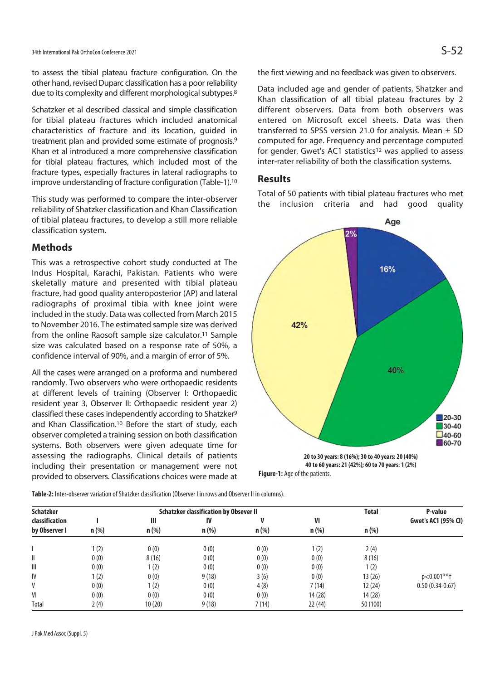to assess the tibial plateau fracture configuration. On the other hand, revised Duparc classification has a poor reliability due to its complexity and different morphological subtypes.<sup>8</sup>

Schatzker et al described classical and simple classification for tibial plateau fractures which included anatomical characteristics of fracture and its location, guided in treatment plan and provided some estimate of prognosis.9 Khan et al introduced a more comprehensive classification for tibial plateau fractures, which included most of the fracture types, especially fractures in lateral radiographs to improve understanding of fracture configuration (Table-1).10

This study was performed to compare the inter-observer reliability of Shatzker classification and Khan Classification of tibial plateau fractures, to develop a still more reliable classification system.

#### **Methods**

This was a retrospective cohort study conducted at The Indus Hospital, Karachi, Pakistan. Patients who were skeletally mature and presented with tibial plateau fracture, had good quality anteroposterior (AP) and lateral radiographs of proximal tibia with knee joint were included in the study. Data was collected from March 2015 to November 2016. The estimated sample size was derived from the online Raosoft sample size calculator.11 Sample size was calculated based on a response rate of 50%, a confidence interval of 90%, and a margin of error of 5%.

All the cases were arranged on a proforma and numbered randomly. Two observers who were orthopaedic residents at different levels of training (Observer I: Orthopaedic resident year 3, Observer II: Orthopaedic resident year 2) classified these cases independently according to Shatzker9 and Khan Classification.10 Before the start of study, each observer completed a training session on both classification systems. Both observers were given adequate time for assessing the radiographs. Clinical details of patients including their presentation or management were not provided to observers. Classifications choices were made at the first viewing and no feedback was given to observers.

Data included age and gender of patients, Shatzker and Khan classification of all tibial plateau fractures by 2 different observers. Data from both observers was entered on Microsoft excel sheets. Data was then transferred to SPSS version 21.0 for analysis. Mean  $\pm$  SD computed for age. Frequency and percentage computed for gender. Gwet's AC1 statistics<sup>12</sup> was applied to assess inter-rater reliability of both the classification systems.

## **Results**

Total of 50 patients with tibial plateau fractures who met the inclusion criteria and had good quality



**40 to 60 years: 21 (42%); 60 to 70 years: 1 (2%) Figure-1:** Age of the patients.

**Table-2:** Inter-observer variation of Shatzker classification (Observer I in rows and Observer II in columns).

| <b>Schatzker</b>      |         | <b>Schatzker classification by Obsever II</b> | <b>Total</b> | P-value |         |          |                     |
|-----------------------|---------|-----------------------------------------------|--------------|---------|---------|----------|---------------------|
| <b>classification</b> |         | Ш                                             | IV           |         | VI      |          | Gwet's AC1 (95% CI) |
| by Observer I         | $n$ (%) | $n$ (%)                                       | $n$ (%)      | $n$ (%) | $n$ (%) | $n$ (%)  |                     |
|                       | 1(2)    | 0(0)                                          | 0(0)         | 0(0)    | (2)     | 2(4)     |                     |
| II                    | 0(0)    | 8(16)                                         | 0(0)         | 0(0)    | 0(0)    | 8(16)    |                     |
| Ш                     | 0(0)    | 1(2)                                          | 0(0)         | 0(0)    | 0(0)    | 1(2)     |                     |
| IV                    | 1(2)    | 0(0)                                          | 9(18)        | 3(6)    | 0(0)    | 13(26)   | p<0.001**+          |
| V                     | 0(0)    | 1(2)                                          | 0(0)         | 4(8)    | 7(14)   | 12(24)   | $0.50(0.34-0.67)$   |
| VI                    | 0(0)    | 0(0)                                          | 0(0)         | 0(0)    | 14(28)  | 14(28)   |                     |
| Total                 | 2(4)    | 10(20)                                        | 9(18)        | 7(14)   | 22(44)  | 50 (100) |                     |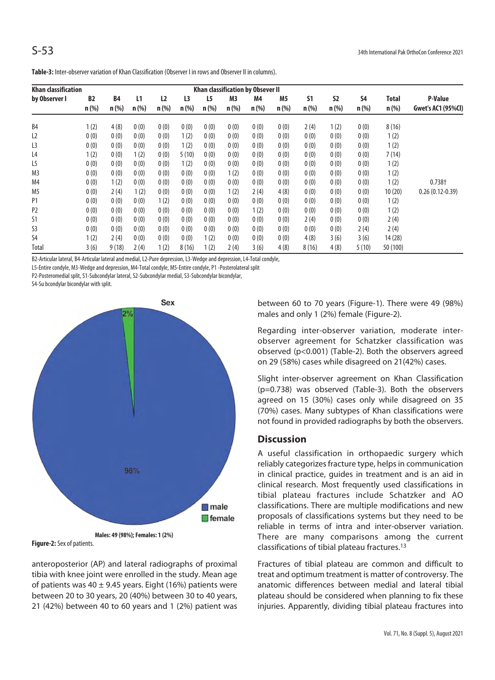| <b>Khan classification</b><br>Khan classification by Obsever II |                      |                      |               |                           |                           |               |               |               |                           |               |                      |                      |                  |                                      |
|-----------------------------------------------------------------|----------------------|----------------------|---------------|---------------------------|---------------------------|---------------|---------------|---------------|---------------------------|---------------|----------------------|----------------------|------------------|--------------------------------------|
| by Observer I                                                   | <b>B2</b><br>$n$ (%) | <b>B4</b><br>$n$ (%) | L1<br>$n$ (%) | L <sub>2</sub><br>$n$ (%) | L <sub>3</sub><br>$n$ (%) | L5<br>$n$ (%) | M3<br>$n$ (%) | M4<br>$n$ (%) | M <sub>5</sub><br>$n$ (%) | S1<br>$n$ (%) | <b>S2</b><br>$n$ (%) | <b>S4</b><br>$n$ (%) | Total<br>$n$ (%) | P-Value<br><b>Gwet's AC1 (95%Cl)</b> |
| B <sub>4</sub>                                                  | 1(2)                 | 4(8)                 | 0(0)          | 0(0)                      | 0(0)                      | 0(0)          | 0(0)          | 0(0)          | 0(0)                      | 2(4)          | 1(2)                 | 0(0)                 | 8(16)            |                                      |
| L <sub>2</sub>                                                  | 0(0)                 | 0(0)                 | 0(0)          | 0(0)                      | 1(2)                      | 0(0)          | 0(0)          | 0(0)          | 0(0)                      | 0(0)          | 0(0)                 | 0(0)                 | 1(2)             |                                      |
| L <sub>3</sub>                                                  | 0(0)                 | 0(0)                 | 0(0)          | 0(0)                      | 1(2)                      | 0(0)          | 0(0)          | 0(0)          | 0(0)                      | 0(0)          | 0(0)                 | 0(0)                 | 1(2)             |                                      |
| L4                                                              | 1(2)                 | 0(0)                 | 1(2)          | 0(0)                      | 5(10)                     | 0(0)          | 0(0)          | 0(0)          | 0(0)                      | 0(0)          | 0(0)                 | 0(0)                 | 7(14)            |                                      |
| L <sub>5</sub>                                                  | 0(0)                 | 0(0)                 | 0(0)          | 0(0)                      | 1(2)                      | 0(0)          | 0(0)          | 0(0)          | 0(0)                      | 0(0)          | 0(0)                 | 0(0)                 | 1(2)             |                                      |
| M <sub>3</sub>                                                  | 0(0)                 | 0(0)                 | 0(0)          | 0(0)                      | 0(0)                      | 0(0)          | 1(2)          | 0(0)          | 0(0)                      | 0(0)          | 0(0)                 | 0(0)                 | 1(2)             |                                      |
| M <sub>4</sub>                                                  | 0(0)                 | 1(2)                 | 0(0)          | 0(0)                      | 0(0)                      | 0(0)          | 0(0)          | 0(0)          | 0(0)                      | 0(0)          | 0(0)                 | 0(0)                 | 1(2)             | $0.738+$                             |
| M <sub>5</sub>                                                  | 0(0)                 | 2(4)                 | 1(2)          | 0(0)                      | 0(0)                      | 0(0)          | 1(2)          | 2(4)          | 4(8)                      | 0(0)          | 0(0)                 | 0(0)                 | 10(20)           | $0.26(0.12-0.39)$                    |
| P <sub>1</sub>                                                  | 0(0)                 | 0(0)                 | 0(0)          | 1(2)                      | 0(0)                      | 0(0)          | 0(0)          | 0(0)          | 0(0)                      | 0(0)          | 0(0)                 | 0(0)                 | 1(2)             |                                      |
| P <sub>2</sub>                                                  | 0(0)                 | 0(0)                 | 0(0)          | 0(0)                      | 0(0)                      | 0(0)          | 0(0)          | 1(2)          | 0(0)                      | 0(0)          | 0(0)                 | 0(0)                 | 1(2)             |                                      |
| S1                                                              | 0(0)                 | 0(0)                 | 0(0)          | 0(0)                      | 0(0)                      | 0(0)          | 0(0)          | 0(0)          | 0(0)                      | 2 (4)         | 0(0)                 | 0(0)                 | 2(4)             |                                      |
| S <sub>3</sub>                                                  | 0(0)                 | 0(0)                 | 0(0)          | 0(0)                      | 0(0)                      | 0(0)          | 0(0)          | 0(0)          | 0(0)                      | 0(0)          | 0(0)                 | 2(4)                 | 2(4)             |                                      |
| S4                                                              | 1(2)                 | 2(4)                 | 0(0)          | 0(0)                      | 0(0)                      | 1(2)          | 0(0)          | 0(0)          | 0(0)                      | 4(8)          | 3(6)                 | 3(6)                 | 14(28)           |                                      |
| Total                                                           | 3(6)                 | 9(18)                | 2(4)          | 1(2)                      | 8(16)                     | 1(2)          | 2(4)          | 3(6)          | 4(8)                      | 8(16)         | 4(8)                 | 5(10)                | 50 (100)         |                                      |

B2-Articular lateral, B4-Articular lateral and medial, L2-Pure depression, L3-Wedge and depression, L4-Total condyle,

L5-Entire condyle, M3-Wedge and depression, M4-Total condyle, M5-Entire condyle, P1 -Posterolateral split

P2-Posteromedial split, S1-Subcondylar lateral, S2-Subcondylar medial, S3-Subcondylar bicondylar,

S4-Su bcondylar bicondylar with split.



**Figure-2:** Sex of patients.

anteroposterior (AP) and lateral radiographs of proximal tibia with knee joint were enrolled in the study. Mean age of patients was  $40 \pm 9.45$  years. Eight (16%) patients were between 20 to 30 years, 20 (40%) between 30 to 40 years, 21 (42%) between 40 to 60 years and 1 (2%) patient was

between 60 to 70 years (Figure-1). There were 49 (98%) males and only 1 (2%) female (Figure-2).

Regarding inter-observer variation, moderate interobserver agreement for Schatzker classification was observed (p<0.001) (Table-2). Both the observers agreed on 29 (58%) cases while disagreed on 21(42%) cases.

Slight inter-observer agreement on Khan Classification (p=0.738) was observed (Table-3). Both the observers agreed on 15 (30%) cases only while disagreed on 35 (70%) cases. Many subtypes of Khan classifications were not found in provided radiographs by both the observers.

#### **Discussion**

A useful classification in orthopaedic surgery which reliably categorizes fracture type, helps in communication in clinical practice, guides in treatment and is an aid in clinical research. Most frequently used classifications in tibial plateau fractures include Schatzker and AO classifications. There are multiple modifications and new proposals of classifications systems but they need to be reliable in terms of intra and inter-observer variation. There are many comparisons among the current classifications of tibial plateau fractures.13

Fractures of tibial plateau are common and difficult to treat and optimum treatment is matter of controversy. The anatomic differences between medial and lateral tibial plateau should be considered when planning to fix these injuries. Apparently, dividing tibial plateau fractures into